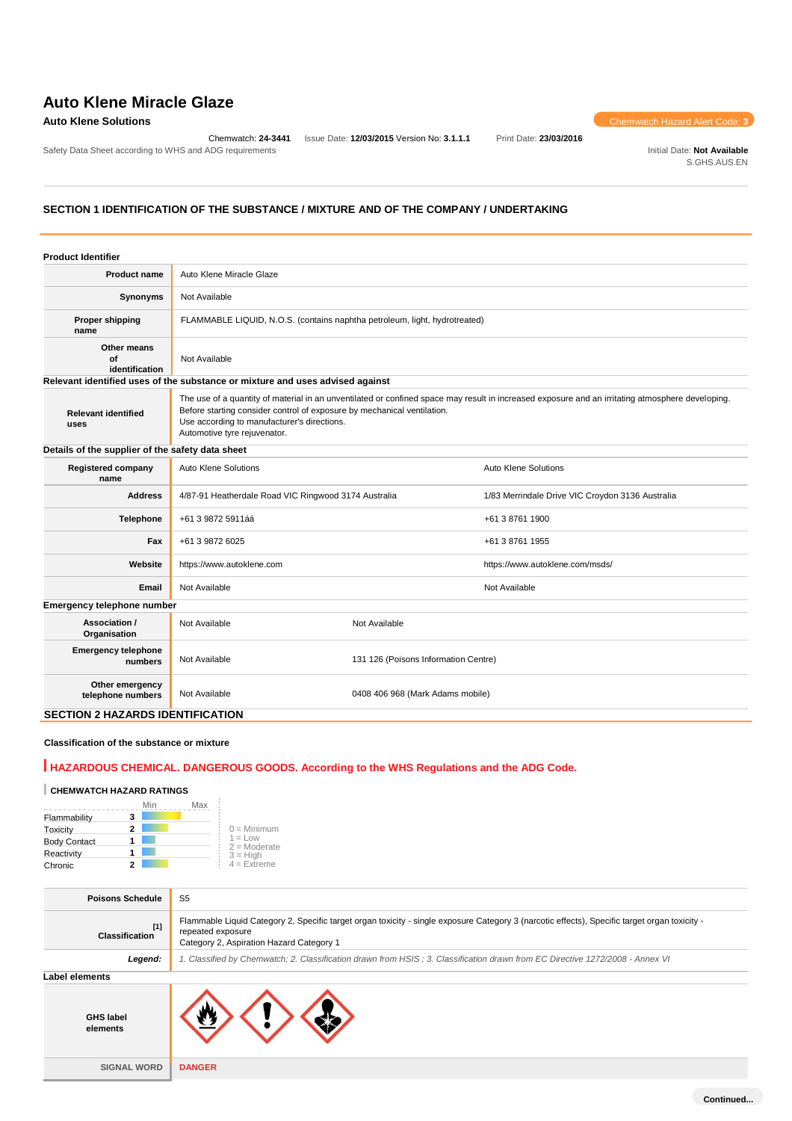Safety Data Sheet according to WHS and ADG requirements **Initial Date: Not Available** Initial Date: Not Available

Chemwatch: **24-3441** Issue Date: **12/03/2015** Version No: **3.1.1.1** Print Date: **23/03/2016**

**Auto Klene Solutions** Chemwatch Hazard Alert Code: **3** 

S.GHS.AUS.EN

# **SECTION 1 IDENTIFICATION OF THE SUBSTANCE / MIXTURE AND OF THE COMPANY / UNDERTAKING**

| <b>Product Identifier</b>                        |                                                                                                                                                                                                                                                                                                            |                                                  |                                 |  |
|--------------------------------------------------|------------------------------------------------------------------------------------------------------------------------------------------------------------------------------------------------------------------------------------------------------------------------------------------------------------|--------------------------------------------------|---------------------------------|--|
| <b>Product name</b>                              | Auto Klene Miracle Glaze                                                                                                                                                                                                                                                                                   |                                                  |                                 |  |
| Synonyms                                         | Not Available                                                                                                                                                                                                                                                                                              |                                                  |                                 |  |
| <b>Proper shipping</b><br>name                   | FLAMMABLE LIQUID, N.O.S. (contains naphtha petroleum, light, hydrotreated)                                                                                                                                                                                                                                 |                                                  |                                 |  |
| Other means<br>Οf<br>identification              | Not Available                                                                                                                                                                                                                                                                                              |                                                  |                                 |  |
|                                                  | Relevant identified uses of the substance or mixture and uses advised against                                                                                                                                                                                                                              |                                                  |                                 |  |
| <b>Relevant identified</b><br>uses               | The use of a quantity of material in an unventilated or confined space may result in increased exposure and an irritating atmosphere developing.<br>Before starting consider control of exposure by mechanical ventilation.<br>Use according to manufacturer's directions.<br>Automotive tyre rejuvenator. |                                                  |                                 |  |
| Details of the supplier of the safety data sheet |                                                                                                                                                                                                                                                                                                            |                                                  |                                 |  |
| <b>Registered company</b><br>name                | Auto Klene Solutions                                                                                                                                                                                                                                                                                       | Auto Klene Solutions                             |                                 |  |
| <b>Address</b>                                   | 4/87-91 Heatherdale Road VIC Ringwood 3174 Australia                                                                                                                                                                                                                                                       | 1/83 Merrindale Drive VIC Croydon 3136 Australia |                                 |  |
| <b>Telephone</b>                                 | +61 3 9872 5911áá                                                                                                                                                                                                                                                                                          | +61 3 8761 1900                                  |                                 |  |
| Fax                                              | +61 3 9872 6025                                                                                                                                                                                                                                                                                            |                                                  | +61 3 8761 1955                 |  |
| Website                                          | https://www.autoklene.com                                                                                                                                                                                                                                                                                  |                                                  | https://www.autoklene.com/msds/ |  |
| Email                                            | Not Available                                                                                                                                                                                                                                                                                              |                                                  | Not Available                   |  |
| Emergency telephone number                       |                                                                                                                                                                                                                                                                                                            |                                                  |                                 |  |
| Association /<br>Organisation                    | Not Available                                                                                                                                                                                                                                                                                              | Not Available                                    |                                 |  |
| <b>Emergency telephone</b><br>numbers            | Not Available                                                                                                                                                                                                                                                                                              | 131 126 (Poisons Information Centre)             |                                 |  |
| Other emergency<br>telephone numbers             | Not Available                                                                                                                                                                                                                                                                                              | 0408 406 968 (Mark Adams mobile)                 |                                 |  |
| <b>SECTION 2 HAZARDS IDENTIFICATION</b>          |                                                                                                                                                                                                                                                                                                            |                                                  |                                 |  |

# **Classification of the substance or mixture**

# **HAZARDOUS CHEMICAL. DANGEROUS GOODS. According to the WHS Regulations and the ADG Code.**

# **CHEMWATCH HAZARD RATINGS**

|                     |   | Min | Max |                             |
|---------------------|---|-----|-----|-----------------------------|
| Flammability        | 3 |     |     |                             |
| Toxicity            | 2 |     |     | $0 =$ Minimum               |
| <b>Body Contact</b> |   |     |     | $1 = Low$<br>$2 =$ Moderate |
| Reactivity          |   |     |     | $3 = High$                  |
| Chronic             |   |     |     | $4 = Ex$ <i>reme</i>        |

| <b>Poisons Schedule</b>        | S5                                                                                                                                                                                                             |
|--------------------------------|----------------------------------------------------------------------------------------------------------------------------------------------------------------------------------------------------------------|
| $[1]$<br><b>Classification</b> | Flammable Liquid Category 2, Specific target organ toxicity - single exposure Category 3 (narcotic effects), Specific target organ toxicity -<br>repeated exposure<br>Category 2, Aspiration Hazard Category 1 |
| Legend:                        | 1. Classified by Chemwatch; 2. Classification drawn from HSIS; 3. Classification drawn from EC Directive 1272/2008 - Annex VI                                                                                  |
| <b>Label elements</b>          |                                                                                                                                                                                                                |
| <b>GHS label</b><br>elements   |                                                                                                                                                                                                                |
| <b>SIGNAL WORD</b>             | <b>DANGER</b>                                                                                                                                                                                                  |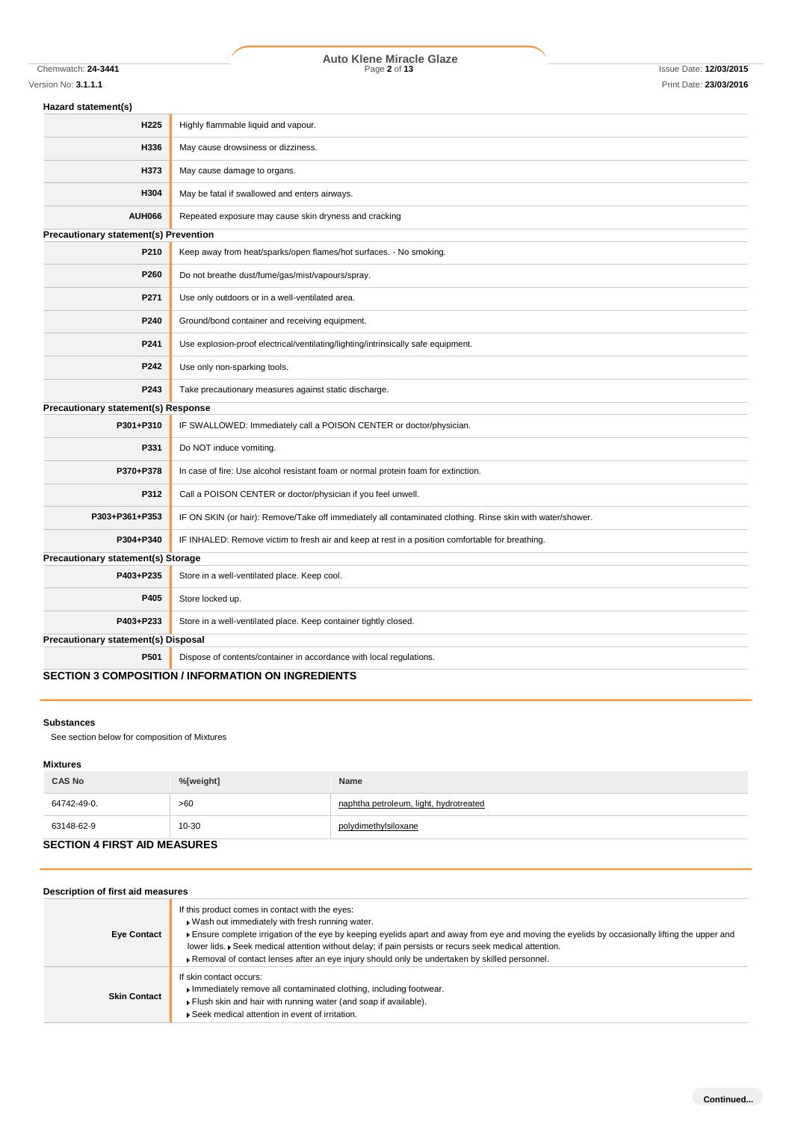Chemwatch: **24-3441** Page **2** of **13** Issue Date: **12/03/2015 Auto Klene Miracle Glaze**

| Hazard statement(s)                          |                                                                                                            |
|----------------------------------------------|------------------------------------------------------------------------------------------------------------|
| H <sub>225</sub>                             | Highly flammable liquid and vapour.                                                                        |
| H336                                         | May cause drowsiness or dizziness.                                                                         |
| H373                                         | May cause damage to organs.                                                                                |
| H304                                         | May be fatal if swallowed and enters airways.                                                              |
| <b>AUH066</b>                                | Repeated exposure may cause skin dryness and cracking                                                      |
| <b>Precautionary statement(s) Prevention</b> |                                                                                                            |
| P210                                         | Keep away from heat/sparks/open flames/hot surfaces. - No smoking.                                         |
| P260                                         | Do not breathe dust/fume/gas/mist/vapours/spray.                                                           |
| P271                                         | Use only outdoors or in a well-ventilated area.                                                            |
| P240                                         | Ground/bond container and receiving equipment.                                                             |
| P241                                         | Use explosion-proof electrical/ventilating/lighting/intrinsically safe equipment.                          |
| P242                                         | Use only non-sparking tools.                                                                               |
| P243                                         | Take precautionary measures against static discharge.                                                      |
| Precautionary statement(s) Response          |                                                                                                            |
| P301+P310                                    | IF SWALLOWED: Immediately call a POISON CENTER or doctor/physician.                                        |
| P331                                         | Do NOT induce vomiting.                                                                                    |
| P370+P378                                    | In case of fire: Use alcohol resistant foam or normal protein foam for extinction.                         |
| P312                                         | Call a POISON CENTER or doctor/physician if you feel unwell.                                               |
| P303+P361+P353                               | IF ON SKIN (or hair): Remove/Take off immediately all contaminated clothing. Rinse skin with water/shower. |
| P304+P340                                    | IF INHALED: Remove victim to fresh air and keep at rest in a position comfortable for breathing.           |
| <b>Precautionary statement(s) Storage</b>    |                                                                                                            |
| P403+P235                                    | Store in a well-ventilated place. Keep cool.                                                               |
| P405                                         | Store locked up.                                                                                           |
| P403+P233                                    | Store in a well-ventilated place. Keep container tightly closed.                                           |
| <b>Precautionary statement(s) Disposal</b>   |                                                                                                            |
| P501                                         | Dispose of contents/container in accordance with local regulations.                                        |
|                                              |                                                                                                            |

# **SECTION 3 COMPOSITION / INFORMATION ON INGREDIENTS**

## **Substances**

See section below for composition of Mixtures

#### **Mixtures**

| <b>CAS No</b>                       | %[weight] | Name                                   |  |
|-------------------------------------|-----------|----------------------------------------|--|
| 64742-49-0.                         | >60       | naphtha petroleum, light, hydrotreated |  |
| 63148-62-9                          | $10 - 30$ | polydimethylsiloxane                   |  |
| <b>SECTION 4 FIRST AID MEASURES</b> |           |                                        |  |

| Description of first aid measures |                                                                                                                                                                                                                                                                                                                                                                                                                                                                 |
|-----------------------------------|-----------------------------------------------------------------------------------------------------------------------------------------------------------------------------------------------------------------------------------------------------------------------------------------------------------------------------------------------------------------------------------------------------------------------------------------------------------------|
| <b>Eye Contact</b>                | If this product comes in contact with the eyes:<br>▶ Wash out immediately with fresh running water.<br>Ensure complete irrigation of the eye by keeping eyelids apart and away from eye and moving the eyelids by occasionally lifting the upper and<br>lower lids. Geek medical attention without delay; if pain persists or recurs seek medical attention.<br>▶ Removal of contact lenses after an eye injury should only be undertaken by skilled personnel. |
| <b>Skin Contact</b>               | If skin contact occurs:<br>Immediately remove all contaminated clothing, including footwear.<br>Flush skin and hair with running water (and soap if available).<br>▶ Seek medical attention in event of irritation.                                                                                                                                                                                                                                             |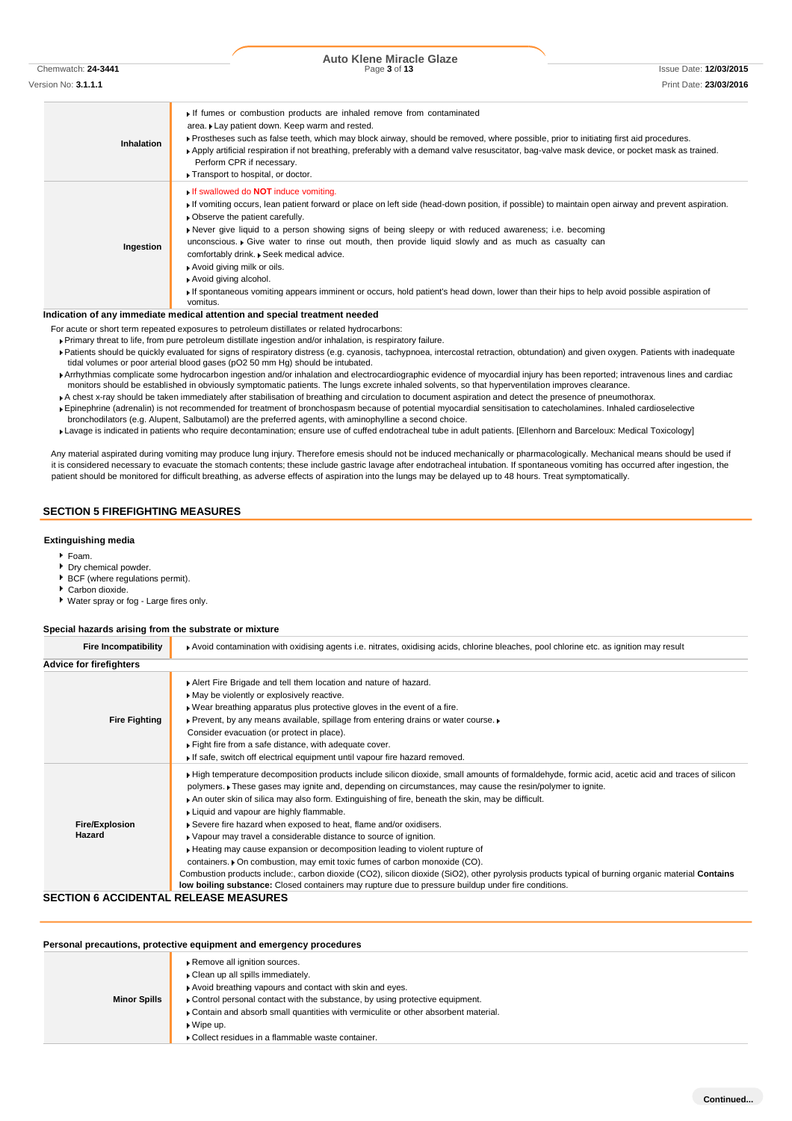Chemwatch: **24-3441** Page **3** of **13** Issue Date: **12/03/2015**

| Version No: <b>3.1.1.1</b> | Print Date: 23/03/2016 |
|----------------------------|------------------------|
|                            |                        |

**Inhalation** If fumes or combustion products are inhaled remove from contaminated area. Lay patient down. Keep warm and rested. Prostheses such as false teeth, which may block airway, should be removed, where possible, prior to initiating first aid procedures. Apply artificial respiration if not breathing, preferably with a demand valve resuscitator, bag-valve mask device, or pocket mask as trained. Perform CPR if necessary. **Transport to hospital, or doctor. Ingestion** If swallowed do **NOT** induce vomiting. If vomiting occurs, lean patient forward or place on left side (head-down position, if possible) to maintain open airway and prevent aspiration. **C**bserve the patient carefully Never give liquid to a person showing signs of being sleepy or with reduced awareness; i.e. becoming unconscious. Figive water to rinse out mouth, then provide liquid slowly and as much as casualty can comfortably drink. Seek medical advice. Avoid giving milk or oils. Avoid giving alcohol. If spontaneous vomiting appears imminent or occurs, hold patient's head down, lower than their hips to help avoid possible aspiration of vomitus.

#### **Indication of any immediate medical attention and special treatment needed**

For acute or short term repeated exposures to petroleum distillates or related hydrocarbons:

Primary threat to life, from pure petroleum distillate ingestion and/or inhalation, is respiratory failure.

- Patients should be quickly evaluated for signs of respiratory distress (e.g. cyanosis, tachypnoea, intercostal retraction, obtundation) and given oxygen. Patients with inadequate tidal volumes or poor arterial blood gases (pO2 50 mm Hg) should be intubated.
- Arrhythmias complicate some hydrocarbon ingestion and/or inhalation and electrocardiographic evidence of myocardial injury has been reported; intravenous lines and cardiac monitors should be established in obviously symptomatic patients. The lungs excrete inhaled solvents, so that hyperventilation improves clearance.
- A chest x-ray should be taken immediately after stabilisation of breathing and circulation to document aspiration and detect the presence of pneumothorax.
- Epinephrine (adrenalin) is not recommended for treatment of bronchospasm because of potential myocardial sensitisation to catecholamines. Inhaled cardioselective bronchodilators (e.g. Alupent, Salbutamol) are the preferred agents, with aminophylline a second choice.
- Lavage is indicated in patients who require decontamination; ensure use of cuffed endotracheal tube in adult patients. [Ellenhorn and Barceloux: Medical Toxicology]

Any material aspirated during vomiting may produce lung injury. Therefore emesis should not be induced mechanically or pharmacologically. Mechanical means should be used if it is considered necessary to evacuate the stomach contents; these include gastric lavage after endotracheal intubation. If spontaneous vomiting has occurred after ingestion, the patient should be monitored for difficult breathing, as adverse effects of aspiration into the lungs may be delayed up to 48 hours. Treat symptomatically.

### **SECTION 5 FIREFIGHTING MEASURES**

#### **Extinguishing media**

- Foam.
- **Dry chemical powder.**
- BCF (where regulations permit).
- Carbon dioxide.
- Water spray or fog Large fires only.

#### **Special hazards arising from the substrate or mixture**

| <b>Fire Incompatibility</b>    | Avoid contamination with oxidising agents i.e. nitrates, oxidising acids, chlorine bleaches, pool chlorine etc. as ignition may result                                                                                                                   |  |  |  |
|--------------------------------|----------------------------------------------------------------------------------------------------------------------------------------------------------------------------------------------------------------------------------------------------------|--|--|--|
| <b>Advice for firefighters</b> |                                                                                                                                                                                                                                                          |  |  |  |
|                                | Alert Fire Brigade and tell them location and nature of hazard.                                                                                                                                                                                          |  |  |  |
|                                | May be violently or explosively reactive.                                                                                                                                                                                                                |  |  |  |
|                                | . Wear breathing apparatus plus protective gloves in the event of a fire.                                                                                                                                                                                |  |  |  |
| <b>Fire Fighting</b>           | ▶ Prevent, by any means available, spillage from entering drains or water course.                                                                                                                                                                        |  |  |  |
|                                | Consider evacuation (or protect in place).                                                                                                                                                                                                               |  |  |  |
|                                | Fight fire from a safe distance, with adequate cover.                                                                                                                                                                                                    |  |  |  |
|                                | If safe, switch off electrical equipment until vapour fire hazard removed.                                                                                                                                                                               |  |  |  |
|                                | ► High temperature decomposition products include silicon dioxide, small amounts of formaldehyde, formic acid, acetic acid and traces of silicon                                                                                                         |  |  |  |
|                                | polymers. These gases may ignite and, depending on circumstances, may cause the resin/polymer to ignite.                                                                                                                                                 |  |  |  |
|                                | An outer skin of silica may also form. Extinguishing of fire, beneath the skin, may be difficult.                                                                                                                                                        |  |  |  |
|                                | Liquid and vapour are highly flammable.                                                                                                                                                                                                                  |  |  |  |
| <b>Fire/Explosion</b>          | Severe fire hazard when exposed to heat, flame and/or oxidisers.                                                                                                                                                                                         |  |  |  |
| Hazard                         | • Vapour may travel a considerable distance to source of ignition.                                                                                                                                                                                       |  |  |  |
|                                | ► Heating may cause expansion or decomposition leading to violent rupture of                                                                                                                                                                             |  |  |  |
|                                | containers. • On combustion, may emit toxic fumes of carbon monoxide (CO).                                                                                                                                                                               |  |  |  |
|                                | Combustion products include:, carbon dioxide (CO2), silicon dioxide (SiO2), other pyrolysis products typical of burning organic material Contains<br>low boiling substance: Closed containers may rupture due to pressure buildup under fire conditions. |  |  |  |

# **SECTION 6 ACCIDENTAL RELEASE MEASURES**

| Personal precautions, protective equipment and emergency procedures |                                                                                                                                                                                                                                                                                                                                                                               |  |  |  |
|---------------------------------------------------------------------|-------------------------------------------------------------------------------------------------------------------------------------------------------------------------------------------------------------------------------------------------------------------------------------------------------------------------------------------------------------------------------|--|--|--|
| <b>Minor Spills</b>                                                 | Remove all ignition sources.<br>Clean up all spills immediately.<br>Avoid breathing vapours and contact with skin and eyes.<br>Control personal contact with the substance, by using protective equipment.<br>▶ Contain and absorb small quantities with vermiculite or other absorbent material.<br>$\bullet$ Wipe up.<br>▶ Collect residues in a flammable waste container. |  |  |  |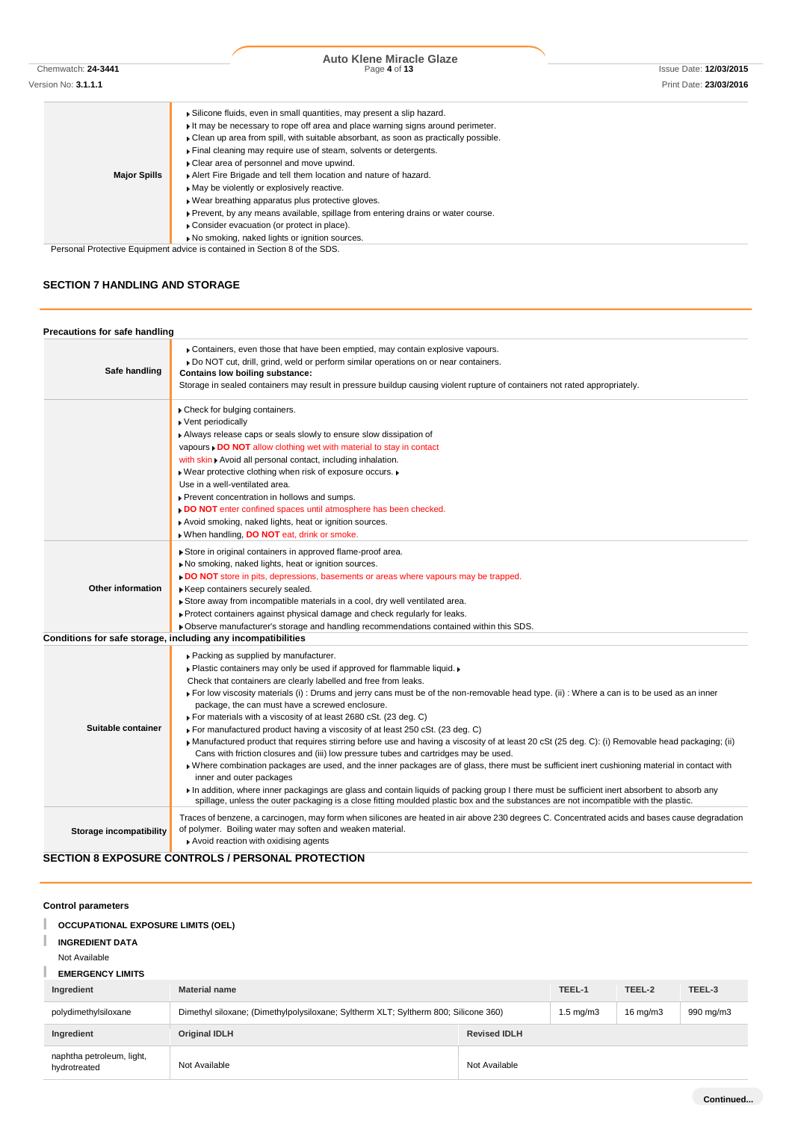| <b>Major Spills</b> | Silicone fluids, even in small quantities, may present a slip hazard.<br>It may be necessary to rope off area and place warning signs around perimeter.<br>• Clean up area from spill, with suitable absorbant, as soon as practically possible. |  |  |
|---------------------|--------------------------------------------------------------------------------------------------------------------------------------------------------------------------------------------------------------------------------------------------|--|--|
|                     | Final cleaning may require use of steam, solvents or detergents.                                                                                                                                                                                 |  |  |
|                     | Clear area of personnel and move upwind.                                                                                                                                                                                                         |  |  |
|                     | Alert Fire Brigade and tell them location and nature of hazard.                                                                                                                                                                                  |  |  |
|                     | May be violently or explosively reactive.                                                                                                                                                                                                        |  |  |
|                     | . Wear breathing apparatus plus protective gloves.                                                                                                                                                                                               |  |  |
|                     | ▶ Prevent, by any means available, spillage from entering drains or water course.                                                                                                                                                                |  |  |
|                     | Consider evacuation (or protect in place).                                                                                                                                                                                                       |  |  |
|                     | No smoking, naked lights or ignition sources.                                                                                                                                                                                                    |  |  |

Personal Protective Equipment advice is contained in Section 8 of the SDS.

# **SECTION 7 HANDLING AND STORAGE**

| Precautions for safe handling |                                                                                                                                                                                                                                                                                                                                                                                                                                                                                                                                                                                                                                                                                                                                                                                                                                                                                                                                                                                                                                                                                                                                                                                                                                                              |
|-------------------------------|--------------------------------------------------------------------------------------------------------------------------------------------------------------------------------------------------------------------------------------------------------------------------------------------------------------------------------------------------------------------------------------------------------------------------------------------------------------------------------------------------------------------------------------------------------------------------------------------------------------------------------------------------------------------------------------------------------------------------------------------------------------------------------------------------------------------------------------------------------------------------------------------------------------------------------------------------------------------------------------------------------------------------------------------------------------------------------------------------------------------------------------------------------------------------------------------------------------------------------------------------------------|
| Safe handling                 | Containers, even those that have been emptied, may contain explosive vapours.<br>▶ Do NOT cut, drill, grind, weld or perform similar operations on or near containers.<br><b>Contains low boiling substance:</b><br>Storage in sealed containers may result in pressure buildup causing violent rupture of containers not rated appropriately.                                                                                                                                                                                                                                                                                                                                                                                                                                                                                                                                                                                                                                                                                                                                                                                                                                                                                                               |
|                               | Check for bulging containers.<br>▶ Vent periodically<br>Always release caps or seals slowly to ensure slow dissipation of<br>vapours . DO NOT allow clothing wet with material to stay in contact<br>with skin > Avoid all personal contact, including inhalation.<br>. Wear protective clothing when risk of exposure occurs.<br>Use in a well-ventilated area.<br>Prevent concentration in hollows and sumps.<br>DO NOT enter confined spaces until atmosphere has been checked.<br>Avoid smoking, naked lights, heat or ignition sources.<br>When handling, DO NOT eat, drink or smoke.                                                                                                                                                                                                                                                                                                                                                                                                                                                                                                                                                                                                                                                                   |
| <b>Other information</b>      | Store in original containers in approved flame-proof area.<br>No smoking, naked lights, heat or ignition sources.<br>DO NOT store in pits, depressions, basements or areas where vapours may be trapped.<br>Keep containers securely sealed.<br>Store away from incompatible materials in a cool, dry well ventilated area.<br>▶ Protect containers against physical damage and check regularly for leaks.<br>▶ Observe manufacturer's storage and handling recommendations contained within this SDS.                                                                                                                                                                                                                                                                                                                                                                                                                                                                                                                                                                                                                                                                                                                                                       |
|                               | Conditions for safe storage, including any incompatibilities                                                                                                                                                                                                                                                                                                                                                                                                                                                                                                                                                                                                                                                                                                                                                                                                                                                                                                                                                                                                                                                                                                                                                                                                 |
| Suitable container            | ▶ Packing as supplied by manufacturer.<br>. Plastic containers may only be used if approved for flammable liquid.<br>Check that containers are clearly labelled and free from leaks.<br>For low viscosity materials (i): Drums and jerry cans must be of the non-removable head type. (ii): Where a can is to be used as an inner<br>package, the can must have a screwed enclosure.<br>► For materials with a viscosity of at least 2680 cSt. (23 deg. C)<br>For manufactured product having a viscosity of at least 250 cSt. (23 deg. C)<br>• Manufactured product that requires stirring before use and having a viscosity of at least 20 cSt (25 deg. C): (i) Removable head packaging; (ii)<br>Cans with friction closures and (iii) low pressure tubes and cartridges may be used.<br>Where combination packages are used, and the inner packages are of glass, there must be sufficient inert cushioning material in contact with<br>inner and outer packages<br>In addition, where inner packagings are glass and contain liquids of packing group I there must be sufficient inert absorbent to absorb any<br>spillage, unless the outer packaging is a close fitting moulded plastic box and the substances are not incompatible with the plastic. |
| Storage incompatibility       | Traces of benzene, a carcinogen, may form when silicones are heated in air above 230 degrees C. Concentrated acids and bases cause degradation<br>of polymer. Boiling water may soften and weaken material.<br>Avoid reaction with oxidising agents                                                                                                                                                                                                                                                                                                                                                                                                                                                                                                                                                                                                                                                                                                                                                                                                                                                                                                                                                                                                          |
|                               | <b>SECTION 8 EXPOSURE CONTROLS / PERSONAL PROTECTION</b>                                                                                                                                                                                                                                                                                                                                                                                                                                                                                                                                                                                                                                                                                                                                                                                                                                                                                                                                                                                                                                                                                                                                                                                                     |

### **Control parameters**

#### г **OCCUPATIONAL EXPOSURE LIMITS (OEL)**

#### T **INGREDIENT DATA**

### Not Available

# **EMERGENCY LIMITS**

| Ingredient                                | <b>Material name</b>                                                                |                     | TEEL-1               | TEEL-2            | TEEL-3    |
|-------------------------------------------|-------------------------------------------------------------------------------------|---------------------|----------------------|-------------------|-----------|
| polydimethylsiloxane                      | Dimethyl siloxane; (Dimethylpolysiloxane; Syltherm XLT; Syltherm 800; Silicone 360) |                     | $1.5 \text{ mg/m}$ 3 | $16 \text{ mg/m}$ | 990 mg/m3 |
| Ingredient                                | <b>Original IDLH</b>                                                                | <b>Revised IDLH</b> |                      |                   |           |
| naphtha petroleum, light,<br>hydrotreated | Not Available                                                                       | Not Available       |                      |                   |           |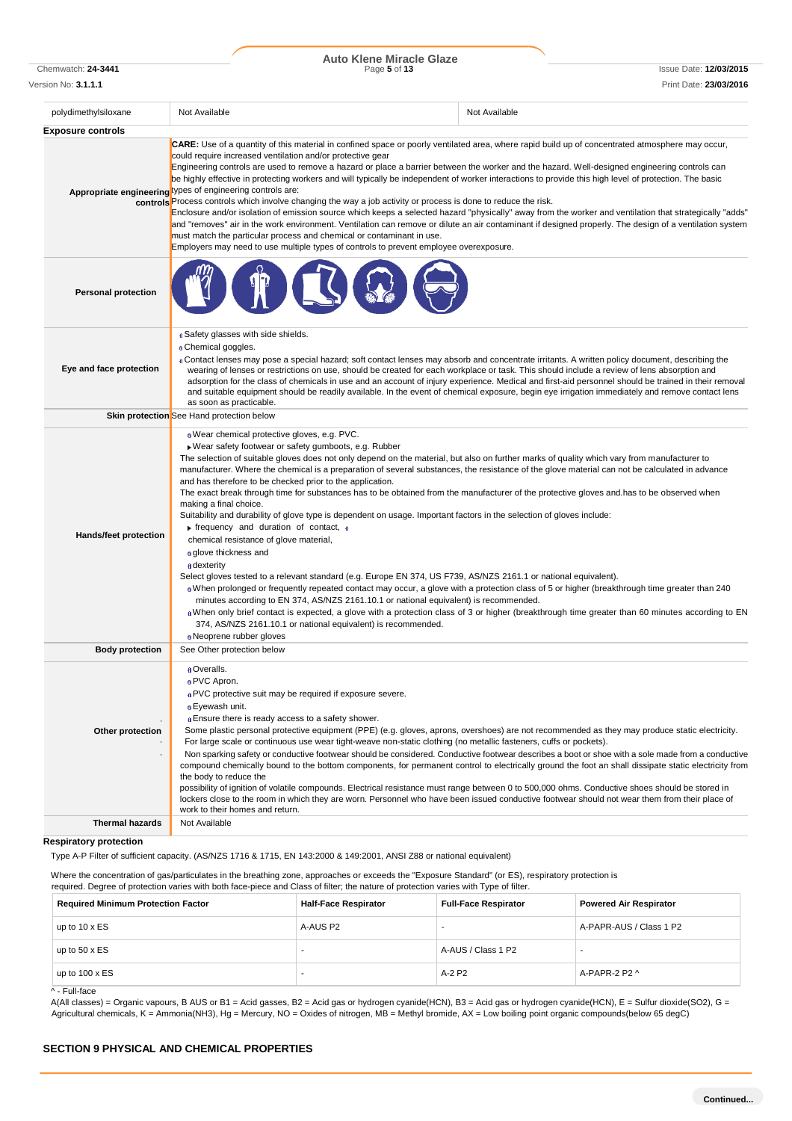Chemwatch: **24-3441** Page **5** of **13** Issue Date: **12/03/2015 Auto Klene Miracle Glaze**

| polydimethylsiloxane       | Not Available                                                                                                                                                                                                                                                                                                                                                                                                                                                                                                                                                                                                                                                                                                                                                                                                                                                                                                                                                                                                                                                                                                                                                                                                                                                                                                                                                                                                                                                                                                                                 | Not Available                                                                                                                                                                                                                                                                                                      |  |
|----------------------------|-----------------------------------------------------------------------------------------------------------------------------------------------------------------------------------------------------------------------------------------------------------------------------------------------------------------------------------------------------------------------------------------------------------------------------------------------------------------------------------------------------------------------------------------------------------------------------------------------------------------------------------------------------------------------------------------------------------------------------------------------------------------------------------------------------------------------------------------------------------------------------------------------------------------------------------------------------------------------------------------------------------------------------------------------------------------------------------------------------------------------------------------------------------------------------------------------------------------------------------------------------------------------------------------------------------------------------------------------------------------------------------------------------------------------------------------------------------------------------------------------------------------------------------------------|--------------------------------------------------------------------------------------------------------------------------------------------------------------------------------------------------------------------------------------------------------------------------------------------------------------------|--|
| <b>Exposure controls</b>   |                                                                                                                                                                                                                                                                                                                                                                                                                                                                                                                                                                                                                                                                                                                                                                                                                                                                                                                                                                                                                                                                                                                                                                                                                                                                                                                                                                                                                                                                                                                                               |                                                                                                                                                                                                                                                                                                                    |  |
|                            | <b>CARE:</b> Use of a quantity of this material in confined space or poorly ventilated area, where rapid build up of concentrated atmosphere may occur,<br>could require increased ventilation and/or protective gear<br>Engineering controls are used to remove a hazard or place a barrier between the worker and the hazard. Well-designed engineering controls can<br>be highly effective in protecting workers and will typically be independent of worker interactions to provide this high level of protection. The basic<br>Appropriate engineering types of engineering controls are:<br>controls <sup>P</sup> Process controls which involve changing the way a job activity or process is done to reduce the risk.<br>must match the particular process and chemical or contaminant in use.<br>Employers may need to use multiple types of controls to prevent employee overexposure.                                                                                                                                                                                                                                                                                                                                                                                                                                                                                                                                                                                                                                              | Enclosure and/or isolation of emission source which keeps a selected hazard "physically" away from the worker and ventilation that strategically "adds"<br>and "removes" air in the work environment. Ventilation can remove or dilute an air contaminant if designed properly. The design of a ventilation system |  |
| <b>Personal protection</b> |                                                                                                                                                                                                                                                                                                                                                                                                                                                                                                                                                                                                                                                                                                                                                                                                                                                                                                                                                                                                                                                                                                                                                                                                                                                                                                                                                                                                                                                                                                                                               |                                                                                                                                                                                                                                                                                                                    |  |
| Eye and face protection    | a Safety glasses with side shields.<br><b>Chemical goggles.</b><br>« Contact lenses may pose a special hazard; soft contact lenses may absorb and concentrate irritants. A written policy document, describing the<br>wearing of lenses or restrictions on use, should be created for each workplace or task. This should include a review of lens absorption and<br>as soon as practicable.<br>Skin protection See Hand protection below                                                                                                                                                                                                                                                                                                                                                                                                                                                                                                                                                                                                                                                                                                                                                                                                                                                                                                                                                                                                                                                                                                     | adsorption for the class of chemicals in use and an account of injury experience. Medical and first-aid personnel should be trained in their removal<br>and suitable equipment should be readily available. In the event of chemical exposure, begin eye irrigation immediately and remove contact lens            |  |
|                            |                                                                                                                                                                                                                                                                                                                                                                                                                                                                                                                                                                                                                                                                                                                                                                                                                                                                                                                                                                                                                                                                                                                                                                                                                                                                                                                                                                                                                                                                                                                                               |                                                                                                                                                                                                                                                                                                                    |  |
| Hands/feet protection      | . Wear chemical protective gloves, e.g. PVC.<br>Wear safety footwear or safety gumboots, e.g. Rubber<br>The selection of suitable gloves does not only depend on the material, but also on further marks of quality which vary from manufacturer to<br>manufacturer. Where the chemical is a preparation of several substances, the resistance of the glove material can not be calculated in advance<br>and has therefore to be checked prior to the application.<br>The exact break through time for substances has to be obtained from the manufacturer of the protective gloves and has to be observed when<br>making a final choice.<br>Suitability and durability of glove type is dependent on usage. Important factors in the selection of gloves include:<br>$\triangleright$ frequency and duration of contact, $\triangleleft$<br>chemical resistance of glove material,<br>o glove thickness and<br>a dexterity<br>Select gloves tested to a relevant standard (e.g. Europe EN 374, US F739, AS/NZS 2161.1 or national equivalent).<br>. When prolonged or frequently repeated contact may occur, a glove with a protection class of 5 or higher (breakthrough time greater than 240<br>minutes according to EN 374, AS/NZS 2161.10.1 or national equivalent) is recommended.<br>When only brief contact is expected, a glove with a protection class of 3 or higher (breakthrough time greater than 60 minutes according to EN<br>374, AS/NZS 2161.10.1 or national equivalent) is recommended.<br><b>Neoprene rubber gloves</b> |                                                                                                                                                                                                                                                                                                                    |  |
| <b>Body protection</b>     | See Other protection below                                                                                                                                                                                                                                                                                                                                                                                                                                                                                                                                                                                                                                                                                                                                                                                                                                                                                                                                                                                                                                                                                                                                                                                                                                                                                                                                                                                                                                                                                                                    |                                                                                                                                                                                                                                                                                                                    |  |
| Other protection           | a Overalls.<br>o PVC Apron.<br>a PVC protective suit may be required if exposure severe.<br><sup>0</sup> Eyewash unit.<br><b>Ensure there is ready access to a safety shower.</b><br>Some plastic personal protective equipment (PPE) (e.g. gloves, aprons, overshoes) are not recommended as they may produce static electricity.<br>For large scale or continuous use wear tight-weave non-static clothing (no metallic fasteners, cuffs or pockets).<br>Non sparking safety or conductive footwear should be considered. Conductive footwear describes a boot or shoe with a sole made from a conductive<br>compound chemically bound to the bottom components, for permanent control to electrically ground the foot an shall dissipate static electricity from<br>the body to reduce the<br>possibility of ignition of volatile compounds. Electrical resistance must range between 0 to 500,000 ohms. Conductive shoes should be stored in<br>lockers close to the room in which they are worn. Personnel who have been issued conductive footwear should not wear them from their place of                                                                                                                                                                                                                                                                                                                                                                                                                                             |                                                                                                                                                                                                                                                                                                                    |  |
|                            | work to their homes and return.                                                                                                                                                                                                                                                                                                                                                                                                                                                                                                                                                                                                                                                                                                                                                                                                                                                                                                                                                                                                                                                                                                                                                                                                                                                                                                                                                                                                                                                                                                               |                                                                                                                                                                                                                                                                                                                    |  |

#### **Respiratory protection**

Type A-P Filter of sufficient capacity. (AS/NZS 1716 & 1715, EN 143:2000 & 149:2001, ANSI Z88 or national equivalent)

Where the concentration of gas/particulates in the breathing zone, approaches or exceeds the "Exposure Standard" (or ES), respiratory protection is required. Degree of protection varies with both face-piece and Class of filter; the nature of protection varies with Type of filter.

| <b>Required Minimum Protection Factor</b> | <b>Half-Face Respirator</b> | <b>Full-Face Respirator</b> | <b>Powered Air Respirator</b> |
|-------------------------------------------|-----------------------------|-----------------------------|-------------------------------|
| up to $10 \times ES$                      | A-AUS P2                    |                             | A-PAPR-AUS / Class 1 P2       |
| up to $50 \times ES$                      |                             | A-AUS / Class 1 P2          | -                             |
| up to $100 \times ES$                     |                             | A-2 P2                      | A-PAPR-2 P2 ^                 |
| ^ - Full-face                             |                             |                             |                               |

A(All classes) = Organic vapours, B AUS or B1 = Acid gasses, B2 = Acid gas or hydrogen cyanide(HCN), B3 = Acid gas or hydrogen cyanide(HCN), E = Sulfur dioxide(SO2), G = Agricultural chemicals, K = Ammonia(NH3), Hg = Mercury, NO = Oxides of nitrogen, MB = Methyl bromide, AX = Low boiling point organic compounds(below 65 degC)

# **SECTION 9 PHYSICAL AND CHEMICAL PROPERTIES**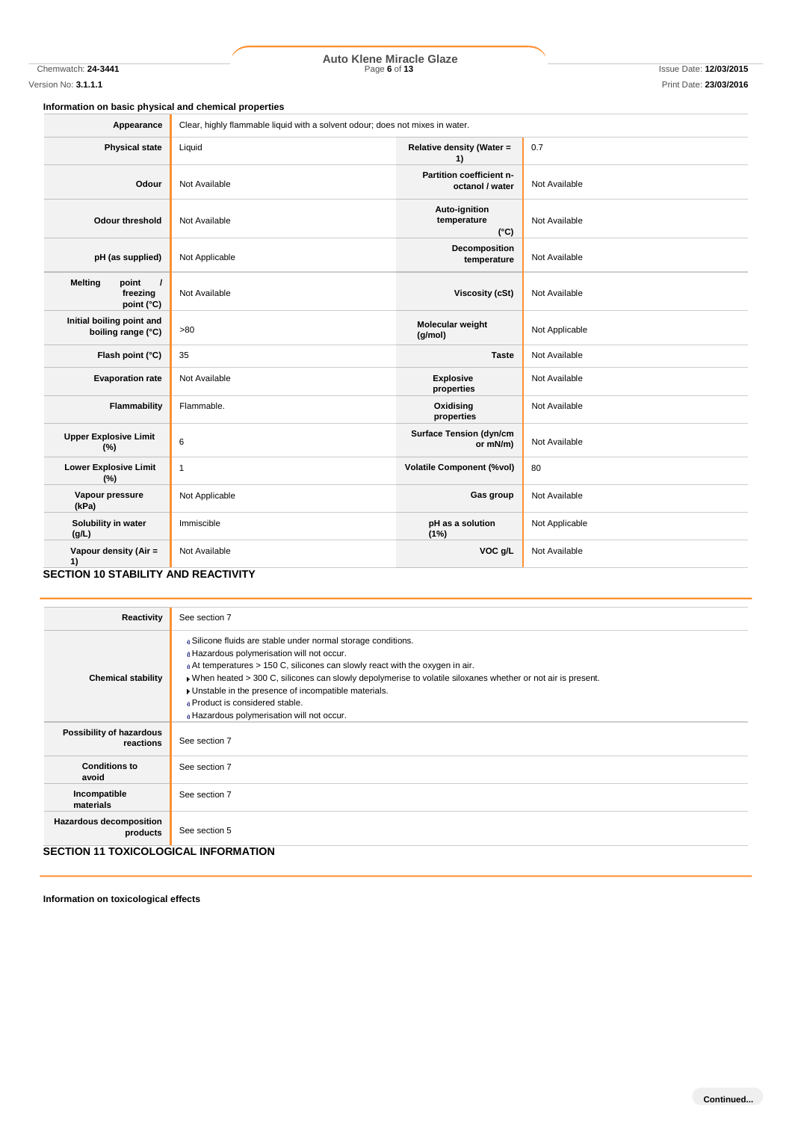# Chemwatch: **24-3441** Page **6** of **13** Issue Date: **12/03/2015 Auto Klene Miracle Glaze**

### **Information on basic physical and chemical properties**

| Appearance                                                                   | Clear, highly flammable liquid with a solvent odour; does not mixes in water. |                                               |                |
|------------------------------------------------------------------------------|-------------------------------------------------------------------------------|-----------------------------------------------|----------------|
| <b>Physical state</b>                                                        | Liquid                                                                        | Relative density (Water =<br>1)               | 0.7            |
| Odour                                                                        | Not Available                                                                 | Partition coefficient n-<br>octanol / water   | Not Available  |
| <b>Odour threshold</b>                                                       | Not Available                                                                 | Auto-ignition<br>temperature<br>$(^{\circ}C)$ | Not Available  |
| pH (as supplied)                                                             | Not Applicable                                                                | Decomposition<br>temperature                  | Not Available  |
| $\overline{1}$<br><b>Melting</b><br>point<br>freezing<br>point $(^{\circ}C)$ | Not Available                                                                 | <b>Viscosity (cSt)</b>                        | Not Available  |
| Initial boiling point and<br>boiling range (°C)                              | >80                                                                           | Molecular weight<br>(g/mol)                   | Not Applicable |
| Flash point (°C)                                                             | 35                                                                            | <b>Taste</b>                                  | Not Available  |
| <b>Evaporation rate</b>                                                      | Not Available                                                                 | <b>Explosive</b><br>properties                | Not Available  |
| <b>Flammability</b>                                                          | Flammable.                                                                    | Oxidising<br>properties                       | Not Available  |
| <b>Upper Explosive Limit</b><br>(%)                                          | 6                                                                             | <b>Surface Tension (dyn/cm</b><br>or mN/m)    | Not Available  |
| <b>Lower Explosive Limit</b><br>(%)                                          | $\mathbf{1}$                                                                  | <b>Volatile Component (%vol)</b>              | 80             |
| Vapour pressure<br>(kPa)                                                     | Not Applicable                                                                | Gas group                                     | Not Available  |
| Solubility in water<br>(g/L)                                                 | Immiscible                                                                    | pH as a solution<br>(1%)                      | Not Applicable |
| Vapour density (Air =<br>1)                                                  | Not Available                                                                 | VOC g/L                                       | Not Available  |
| <b>SECTION 10 STABILITY AND REACTIVITY</b>                                   |                                                                               |                                               |                |

#### **Reactivity** See section 7 **Chemical stability** Silicone fluids are stable under normal storage conditions. Hazardous polymerisation will not occur. **At temperatures > 150 C, silicones can slowly react with the oxygen in air.** When heated > 300 C, silicones can slowly depolymerise to volatile siloxanes whether or not air is present. Unstable in the presence of incompatible materials. Product is considered stable. Hazardous polymerisation will not occur. **Possibility of hazardous**  See section 7 **Conditions to avoid** See section 7 **Incompatible materials** See section 7 **Hazardous decomposition products** See section 5 **SECTION 11 TOXICOLOGICAL INFORMATION**

**Information on toxicological effects**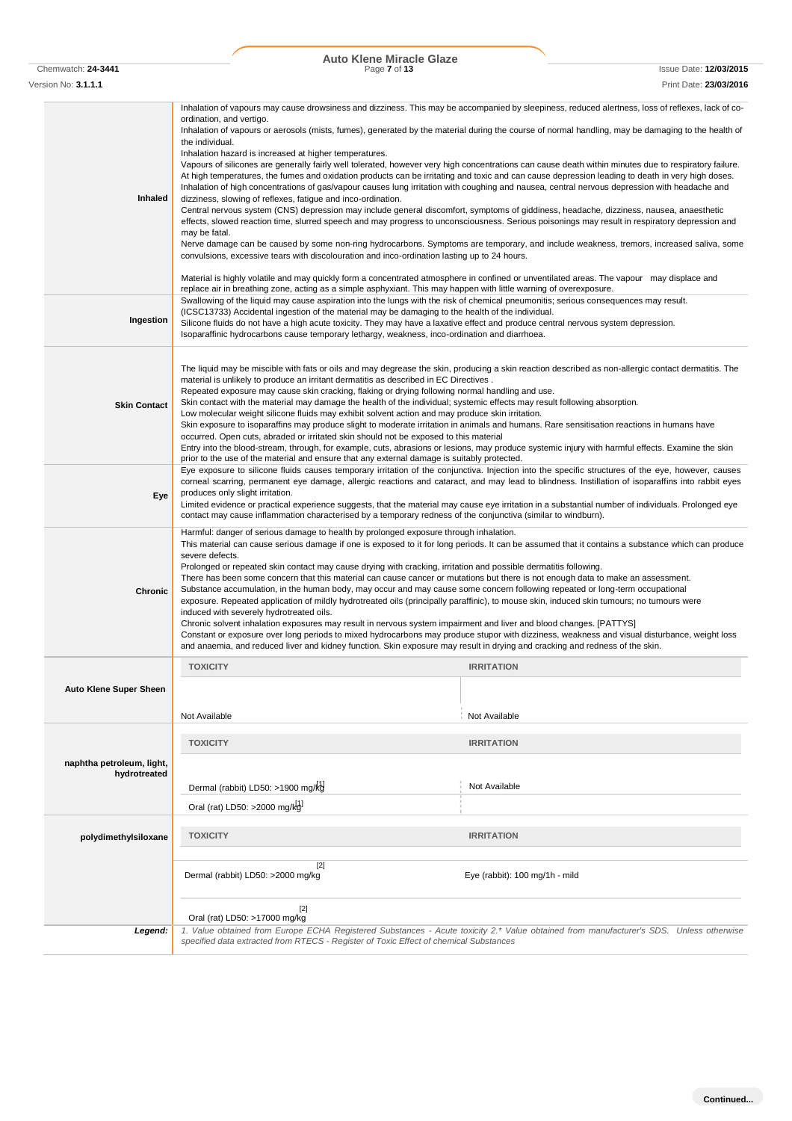Chemwatch: **24-3441** Page **7** of **13** Issue Date: **12/03/2015 Auto Klene Miracle Glaze**

| Version No: <b>3.1.1.1</b>    |                                                                                                                                                                                                                                                                                                                                                                                                                                                                                                                                                                                                                                                                                                                                                                                                                                                                                                                                                                                                                                                                                                                                                                                                                                                      | Print Date: 23/03/2016                                                                                                                                                                                                                                                                                      |  |
|-------------------------------|------------------------------------------------------------------------------------------------------------------------------------------------------------------------------------------------------------------------------------------------------------------------------------------------------------------------------------------------------------------------------------------------------------------------------------------------------------------------------------------------------------------------------------------------------------------------------------------------------------------------------------------------------------------------------------------------------------------------------------------------------------------------------------------------------------------------------------------------------------------------------------------------------------------------------------------------------------------------------------------------------------------------------------------------------------------------------------------------------------------------------------------------------------------------------------------------------------------------------------------------------|-------------------------------------------------------------------------------------------------------------------------------------------------------------------------------------------------------------------------------------------------------------------------------------------------------------|--|
|                               |                                                                                                                                                                                                                                                                                                                                                                                                                                                                                                                                                                                                                                                                                                                                                                                                                                                                                                                                                                                                                                                                                                                                                                                                                                                      | Inhalation of vapours may cause drowsiness and dizziness. This may be accompanied by sleepiness, reduced alertness, loss of reflexes, lack of co-                                                                                                                                                           |  |
| Inhaled                       | ordination, and vertigo.<br>the individual.<br>Inhalation hazard is increased at higher temperatures.<br>At high temperatures, the fumes and oxidation products can be irritating and toxic and can cause depression leading to death in very high doses.<br>Inhalation of high concentrations of gas/vapour causes lung irritation with coughing and nausea, central nervous depression with headache and<br>dizziness, slowing of reflexes, fatigue and inco-ordination.<br>Central nervous system (CNS) depression may include general discomfort, symptoms of giddiness, headache, dizziness, nausea, anaesthetic<br>effects, slowed reaction time, slurred speech and may progress to unconsciousness. Serious poisonings may result in respiratory depression and                                                                                                                                                                                                                                                                                                                                                                                                                                                                              | Inhalation of vapours or aerosols (mists, fumes), generated by the material during the course of normal handling, may be damaging to the health of<br>Vapours of silicones are generally fairly well tolerated, however very high concentrations can cause death within minutes due to respiratory failure. |  |
|                               | may be fatal.<br>convulsions, excessive tears with discolouration and inco-ordination lasting up to 24 hours.<br>Material is highly volatile and may quickly form a concentrated atmosphere in confined or unventilated areas. The vapour may displace and                                                                                                                                                                                                                                                                                                                                                                                                                                                                                                                                                                                                                                                                                                                                                                                                                                                                                                                                                                                           | Nerve damage can be caused by some non-ring hydrocarbons. Symptoms are temporary, and include weakness, tremors, increased saliva, some                                                                                                                                                                     |  |
|                               | replace air in breathing zone, acting as a simple asphyxiant. This may happen with little warning of overexposure.                                                                                                                                                                                                                                                                                                                                                                                                                                                                                                                                                                                                                                                                                                                                                                                                                                                                                                                                                                                                                                                                                                                                   |                                                                                                                                                                                                                                                                                                             |  |
| Ingestion                     | Swallowing of the liquid may cause aspiration into the lungs with the risk of chemical pneumonitis; serious consequences may result.<br>(ICSC13733) Accidental ingestion of the material may be damaging to the health of the individual.<br>Silicone fluids do not have a high acute toxicity. They may have a laxative effect and produce central nervous system depression.<br>Isoparaffinic hydrocarbons cause temporary lethargy, weakness, inco-ordination and diarrhoea.                                                                                                                                                                                                                                                                                                                                                                                                                                                                                                                                                                                                                                                                                                                                                                      |                                                                                                                                                                                                                                                                                                             |  |
| <b>Skin Contact</b>           | The liquid may be miscible with fats or oils and may degrease the skin, producing a skin reaction described as non-allergic contact dermatitis. The<br>material is unlikely to produce an irritant dermatitis as described in EC Directives.<br>Repeated exposure may cause skin cracking, flaking or drying following normal handling and use.<br>Skin contact with the material may damage the health of the individual; systemic effects may result following absorption.<br>Low molecular weight silicone fluids may exhibit solvent action and may produce skin irritation.<br>Skin exposure to isoparaffins may produce slight to moderate irritation in animals and humans. Rare sensitisation reactions in humans have<br>occurred. Open cuts, abraded or irritated skin should not be exposed to this material<br>Entry into the blood-stream, through, for example, cuts, abrasions or lesions, may produce systemic injury with harmful effects. Examine the skin<br>prior to the use of the material and ensure that any external damage is suitably protected.                                                                                                                                                                          |                                                                                                                                                                                                                                                                                                             |  |
| Eye                           | Eye exposure to silicone fluids causes temporary irritation of the conjunctiva. Injection into the specific structures of the eye, however, causes<br>corneal scarring, permanent eye damage, allergic reactions and cataract, and may lead to blindness. Instillation of isoparaffins into rabbit eyes<br>produces only slight irritation.<br>Limited evidence or practical experience suggests, that the material may cause eye irritation in a substantial number of individuals. Prolonged eye<br>contact may cause inflammation characterised by a temporary redness of the conjunctiva (similar to windburn).                                                                                                                                                                                                                                                                                                                                                                                                                                                                                                                                                                                                                                  |                                                                                                                                                                                                                                                                                                             |  |
| <b>Chronic</b>                | Harmful: danger of serious damage to health by prolonged exposure through inhalation.<br>This material can cause serious damage if one is exposed to it for long periods. It can be assumed that it contains a substance which can produce<br>severe defects.<br>Prolonged or repeated skin contact may cause drying with cracking, irritation and possible dermatitis following.<br>There has been some concern that this material can cause cancer or mutations but there is not enough data to make an assessment.<br>Substance accumulation, in the human body, may occur and may cause some concern following repeated or long-term occupational<br>exposure. Repeated application of mildly hydrotreated oils (principally paraffinic), to mouse skin, induced skin tumours; no tumours were<br>induced with severely hydrotreated oils.<br>Chronic solvent inhalation exposures may result in nervous system impairment and liver and blood changes. [PATTYS]<br>Constant or exposure over long periods to mixed hydrocarbons may produce stupor with dizziness, weakness and visual disturbance, weight loss<br>and anaemia, and reduced liver and kidney function. Skin exposure may result in drying and cracking and redness of the skin. |                                                                                                                                                                                                                                                                                                             |  |
|                               | <b>TOXICITY</b>                                                                                                                                                                                                                                                                                                                                                                                                                                                                                                                                                                                                                                                                                                                                                                                                                                                                                                                                                                                                                                                                                                                                                                                                                                      | <b>IRRITATION</b>                                                                                                                                                                                                                                                                                           |  |
| <b>Auto Klene Super Sheen</b> |                                                                                                                                                                                                                                                                                                                                                                                                                                                                                                                                                                                                                                                                                                                                                                                                                                                                                                                                                                                                                                                                                                                                                                                                                                                      |                                                                                                                                                                                                                                                                                                             |  |
|                               | Not Available                                                                                                                                                                                                                                                                                                                                                                                                                                                                                                                                                                                                                                                                                                                                                                                                                                                                                                                                                                                                                                                                                                                                                                                                                                        | Not Available                                                                                                                                                                                                                                                                                               |  |
|                               | <b>TOXICITY</b>                                                                                                                                                                                                                                                                                                                                                                                                                                                                                                                                                                                                                                                                                                                                                                                                                                                                                                                                                                                                                                                                                                                                                                                                                                      | <b>IRRITATION</b>                                                                                                                                                                                                                                                                                           |  |
| naphtha petroleum, light,     |                                                                                                                                                                                                                                                                                                                                                                                                                                                                                                                                                                                                                                                                                                                                                                                                                                                                                                                                                                                                                                                                                                                                                                                                                                                      |                                                                                                                                                                                                                                                                                                             |  |
| hydrotreated                  | Dermal (rabbit) LD50: >1900 mg/kg                                                                                                                                                                                                                                                                                                                                                                                                                                                                                                                                                                                                                                                                                                                                                                                                                                                                                                                                                                                                                                                                                                                                                                                                                    | Not Available                                                                                                                                                                                                                                                                                               |  |
|                               | Oral (rat) LD50: >2000 mg/kg                                                                                                                                                                                                                                                                                                                                                                                                                                                                                                                                                                                                                                                                                                                                                                                                                                                                                                                                                                                                                                                                                                                                                                                                                         |                                                                                                                                                                                                                                                                                                             |  |
|                               |                                                                                                                                                                                                                                                                                                                                                                                                                                                                                                                                                                                                                                                                                                                                                                                                                                                                                                                                                                                                                                                                                                                                                                                                                                                      |                                                                                                                                                                                                                                                                                                             |  |
| polydimethylsiloxane          | <b>TOXICITY</b>                                                                                                                                                                                                                                                                                                                                                                                                                                                                                                                                                                                                                                                                                                                                                                                                                                                                                                                                                                                                                                                                                                                                                                                                                                      | <b>IRRITATION</b>                                                                                                                                                                                                                                                                                           |  |
|                               | $[2]$<br>Dermal (rabbit) LD50: >2000 mg/kg<br>$[2]$                                                                                                                                                                                                                                                                                                                                                                                                                                                                                                                                                                                                                                                                                                                                                                                                                                                                                                                                                                                                                                                                                                                                                                                                  | Eye (rabbit): 100 mg/1h - mild                                                                                                                                                                                                                                                                              |  |
|                               | Oral (rat) LD50: >17000 mg/kg                                                                                                                                                                                                                                                                                                                                                                                                                                                                                                                                                                                                                                                                                                                                                                                                                                                                                                                                                                                                                                                                                                                                                                                                                        |                                                                                                                                                                                                                                                                                                             |  |
| Legend:                       | specified data extracted from RTECS - Register of Toxic Effect of chemical Substances                                                                                                                                                                                                                                                                                                                                                                                                                                                                                                                                                                                                                                                                                                                                                                                                                                                                                                                                                                                                                                                                                                                                                                | 1. Value obtained from Europe ECHA Registered Substances - Acute toxicity 2.* Value obtained from manufacturer's SDS. Unless otherwise                                                                                                                                                                      |  |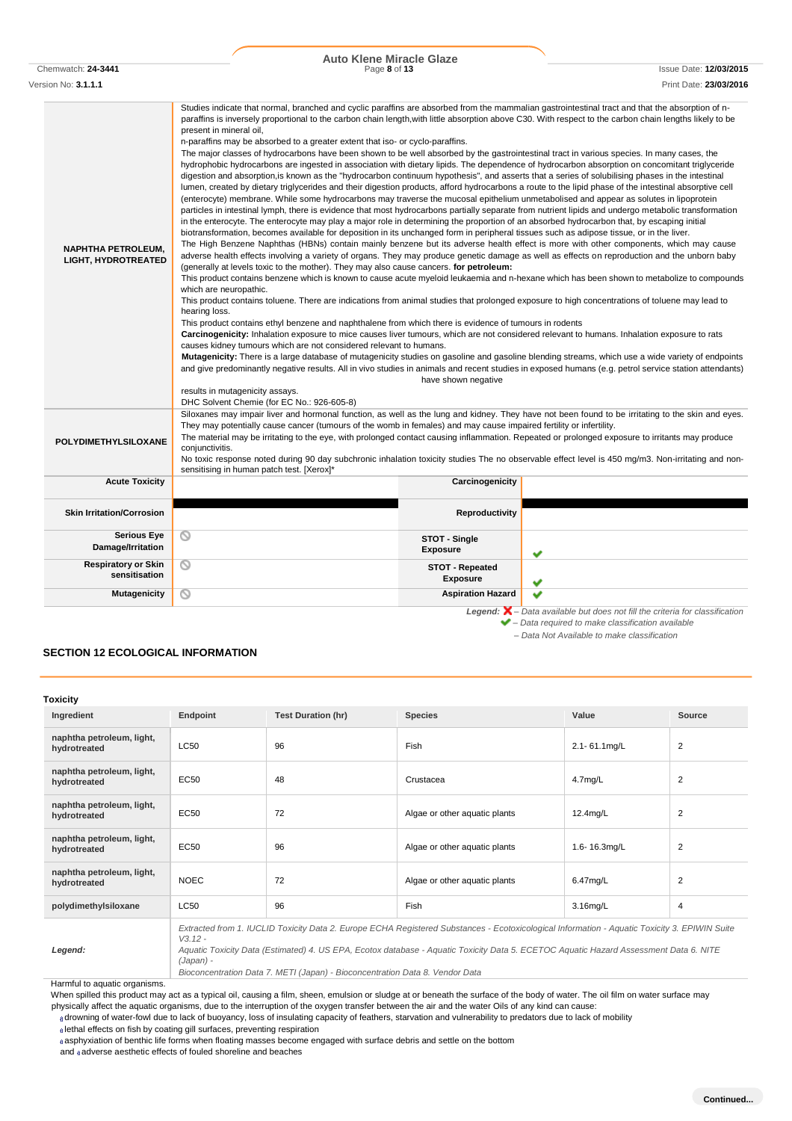Chemwatch: **24-3441** Page **8** of **13** Issue Date: **12/03/2015**

Version No: **3.1.1.1** Print Date: **23/03/2016** Studies indicate that normal, branched and cyclic paraffins are absorbed from the mammalian gastrointestinal tract and that the absorption of nparaffins is inversely proportional to the carbon chain length,with little absorption above C30. With respect to the carbon chain lengths likely to be present in mineral oil, n-paraffins may be absorbed to a greater extent that iso- or cyclo-paraffins. The major classes of hydrocarbons have been shown to be well absorbed by the gastrointestinal tract in various species. In many cases, the hydrophobic hydrocarbons are ingested in association with dietary lipids. The dependence of hydrocarbon absorption on concomitant triglyceride digestion and absorption,is known as the "hydrocarbon continuum hypothesis", and asserts that a series of solubilising phases in the intestinal lumen, created by dietary triglycerides and their digestion products, afford hydrocarbons a route to the lipid phase of the intestinal absorptive cell (enterocyte) membrane. While some hydrocarbons may traverse the mucosal epithelium unmetabolised and appear as solutes in lipoprotein particles in intestinal lymph, there is evidence that most hydrocarbons partially separate from nutrient lipids and undergo metabolic transformation in the enterocyte. The enterocyte may play a major role in determining the proportion of an absorbed hydrocarbon that, by escaping initial biotransformation, becomes available for deposition in its unchanged form in peripheral tissues such as adipose tissue, or in the liver. The High Benzene Naphthas (HBNs) contain mainly benzene but its adverse health effect is more with other components, which may cause **NAPHTHA PETROLEUM,** adverse health effects involving a variety of organs. They may produce genetic damage as well as effects on reproduction and the unborn baby **LIGHT, HYDROTREATED** (generally at levels toxic to the mother). They may also cause cancers. **for petroleum:** This product contains benzene which is known to cause acute myeloid leukaemia and n-hexane which has been shown to metabolize to compounds which are neuropathic. This product contains toluene. There are indications from animal studies that prolonged exposure to high concentrations of toluene may lead to hearing loss. This product contains ethyl benzene and naphthalene from which there is evidence of tumours in rodents **Carcinogenicity:** Inhalation exposure to mice causes liver tumours, which are not considered relevant to humans. Inhalation exposure to rats causes kidney tumours which are not considered relevant to humans. **Mutagenicity:** There is a large database of mutagenicity studies on gasoline and gasoline blending streams, which use a wide variety of endpoints and give predominantly negative results. All in vivo studies in animals and recent studies in exposed humans (e.g. petrol service station attendants) have shown negative results in mutagenicity assays. DHC Solvent Chemie (for EC No.: 926-605-8) Siloxanes may impair liver and hormonal function, as well as the lung and kidney. They have not been found to be irritating to the skin and eyes. They may potentially cause cancer (tumours of the womb in females) and may cause impaired fertility or infertility. The material may be irritating to the eye, with prolonged contact causing inflammation. Repeated or prolonged exposure to irritants may produce **POLYDIMETHYLSILOXANE** conjunctivitis. No toxic response noted during 90 day subchronic inhalation toxicity studies The no observable effect level is 450 mg/m3. Non-irritating and nonsensitising in human patch test. [Xerox]\* **Acute Toxicity Carcinogenicity Skin Irritation/Corrosion**  $\circ$ **Serious Eye STOT - Single Damage/Irritation Exposure Respiratory or Skin**   $\circ$ **STOT - Repeated sensitisation Exposure Mutagenicity Aspiration Hazard** *Legend: – Data available but does not fill the criteria for classification – Data required to make classification available – Data Not Available to make classification*

# **SECTION 12 ECOLOGICAL INFORMATION**

| Toxicity                                  |             |                           |                                                                                                                                                                                                                                                                                        |              |                |
|-------------------------------------------|-------------|---------------------------|----------------------------------------------------------------------------------------------------------------------------------------------------------------------------------------------------------------------------------------------------------------------------------------|--------------|----------------|
| Ingredient                                | Endpoint    | <b>Test Duration (hr)</b> | <b>Species</b>                                                                                                                                                                                                                                                                         | Value        | Source         |
| naphtha petroleum, light,<br>hydrotreated | <b>LC50</b> | 96                        | <b>Fish</b>                                                                                                                                                                                                                                                                            | 2.1-61.1mg/L | 2              |
| naphtha petroleum, light,<br>hydrotreated | EC50        | 48                        | Crustacea                                                                                                                                                                                                                                                                              | $4.7$ mg/L   | $\overline{2}$ |
| naphtha petroleum, light,<br>hydrotreated | EC50        | 72                        | Algae or other aquatic plants                                                                                                                                                                                                                                                          | $12.4$ mg/L  | $\overline{2}$ |
| naphtha petroleum, light,<br>hydrotreated | EC50        | 96                        | Algae or other aquatic plants                                                                                                                                                                                                                                                          | 1.6-16.3mg/L | $\overline{2}$ |
| naphtha petroleum, light,<br>hydrotreated | <b>NOEC</b> | 72                        | Algae or other aquatic plants                                                                                                                                                                                                                                                          | 6.47mg/L     | $\overline{2}$ |
| polydimethylsiloxane                      | <b>LC50</b> | 96                        | <b>Fish</b>                                                                                                                                                                                                                                                                            | $3.16$ mg/L  | $\overline{4}$ |
| Legend:                                   | $V3.12 -$   |                           | Extracted from 1. IUCLID Toxicity Data 2. Europe ECHA Registered Substances - Ecotoxicological Information - Aquatic Toxicity 3. EPIWIN Suite<br>Aquatic Toxicity Data (Estimated) 4. US EPA, Ecotox database - Aquatic Toxicity Data 5. ECETOC Aquatic Hazard Assessment Data 6. NITE |              |                |

*(Japan) - Bioconcentration Data 7. METI (Japan) - Bioconcentration Data 8. Vendor Data*

Harmful to aquatic organisms.

When spilled this product may act as a typical oil, causing a film, sheen, emulsion or sludge at or beneath the surface of the body of water. The oil film on water surface may physically affect the aquatic organisms, due to the interruption of the oxygen transfer between the air and the water Oils of any kind can cause:

drowning of water-fowl due to lack of buoyancy, loss of insulating capacity of feathers, starvation and vulnerability to predators due to lack of mobility

lethal effects on fish by coating gill surfaces, preventing respiration

asphyxiation of benthic life forms when floating masses become engaged with surface debris and settle on the bottom

and adverse aesthetic effects of fouled shoreline and beaches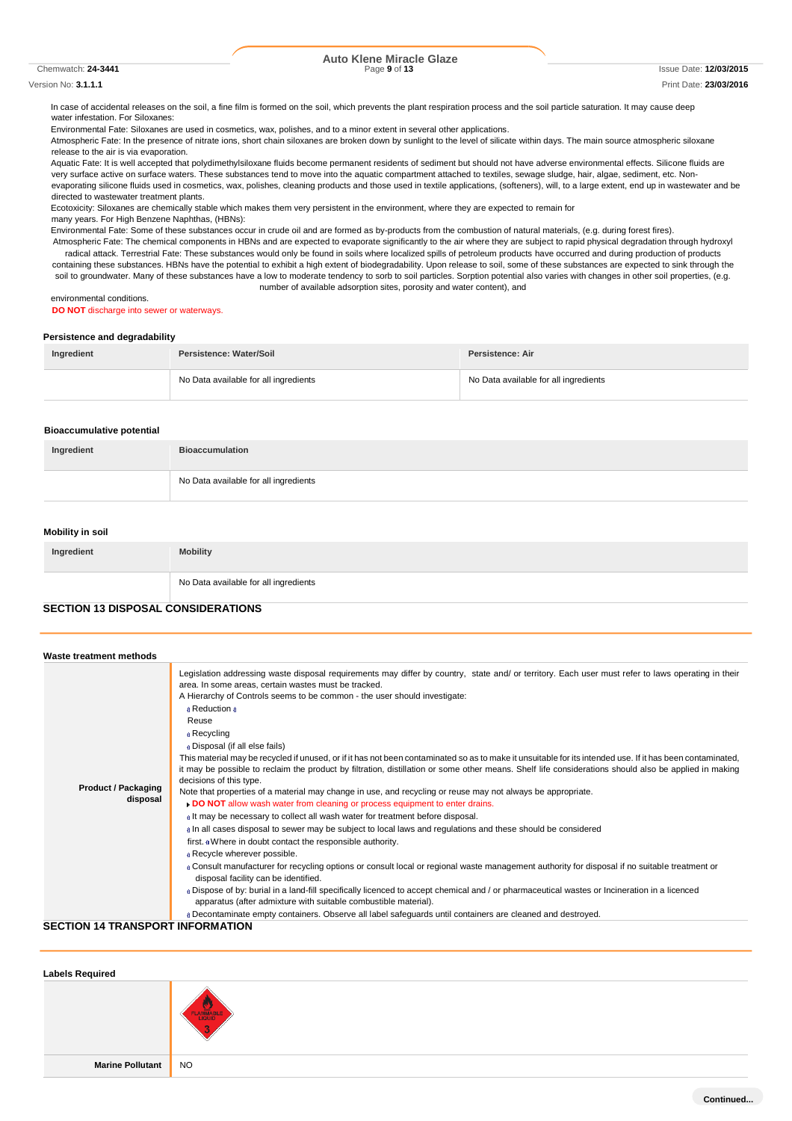#### Chemwatch: **24-3441** Page **9** of **13** Issue Date: **12/03/2015**

# **Auto Klene Miracle Glaze**

#### Version No: **3.1.1.1** Print Date: **23/03/2016**

In case of accidental releases on the soil, a fine film is formed on the soil, which prevents the plant respiration process and the soil particle saturation. It may cause deep water infestation. For Siloxanes:

Environmental Fate: Siloxanes are used in cosmetics, wax, polishes, and to a minor extent in several other applications.

Atmospheric Fate: In the presence of nitrate ions, short chain siloxanes are broken down by sunlight to the level of silicate within days. The main source atmospheric siloxane release to the air is via evaporation.

Aquatic Fate: It is well accepted that polydimethylsiloxane fluids become permanent residents of sediment but should not have adverse environmental effects. Silicone fluids are very surface active on surface waters. These substances tend to move into the aquatic compartment attached to textiles, sewage sludge, hair, algae, sediment, etc. Nonevaporating silicone fluids used in cosmetics, wax, polishes, cleaning products and those used in textile applications, (softeners), will, to a large extent, end up in wastewater and be directed to wastewater treatment plants.

Ecotoxicity: Siloxanes are chemically stable which makes them very persistent in the environment, where they are expected to remain for many years. For High Benzene Naphthas, (HBNs):

Environmental Fate: Some of these substances occur in crude oil and are formed as by-products from the combustion of natural materials, (e.g. during forest fires).

Atmospheric Fate: The chemical components in HBNs and are expected to evaporate significantly to the air where they are subject to rapid physical degradation through hydroxyl radical attack. Terrestrial Fate: These substances would only be found in soils where localized spills of petroleum products have occurred and during production of products containing these substances. HBNs have the potential to exhibit a high extent of biodegradability. Upon release to soil, some of these substances are expected to sink through the soil to groundwater. Many of these substances have a low to moderate tendency to sorb to soil particles. Sorption potential also varies with changes in other soil properties, (e.g. number of available adsorption sites, porosity and water content), and

environmental conditions.

#### **DO NOT** discharge into sewer or waterways.

#### **Persistence and degradability**

| Ingredient | Persistence: Water/Soil               | Persistence: Air                      |
|------------|---------------------------------------|---------------------------------------|
|            | No Data available for all ingredients | No Data available for all ingredients |

#### **Bioaccumulative potential**

| Ingredient | <b>Bioaccumulation</b>                |
|------------|---------------------------------------|
|            | No Data available for all ingredients |

#### **Mobility in soil**

| Ingredient | <b>Mobility</b>                       |
|------------|---------------------------------------|
|            | No Data available for all ingredients |

### **SECTION 13 DISPOSAL CONSIDERATIONS**

| Waste treatment methods                |                                                                                                                                                                                                                                                                                                                                                                                                                                                                                                                                                                                                                                                                                                                                                                                                                                                                                                                                                                                                                                                                                                                                                                                                                                                                                                                                                                                                                                                                                                                                                                                                                                                                                                                                             |
|----------------------------------------|---------------------------------------------------------------------------------------------------------------------------------------------------------------------------------------------------------------------------------------------------------------------------------------------------------------------------------------------------------------------------------------------------------------------------------------------------------------------------------------------------------------------------------------------------------------------------------------------------------------------------------------------------------------------------------------------------------------------------------------------------------------------------------------------------------------------------------------------------------------------------------------------------------------------------------------------------------------------------------------------------------------------------------------------------------------------------------------------------------------------------------------------------------------------------------------------------------------------------------------------------------------------------------------------------------------------------------------------------------------------------------------------------------------------------------------------------------------------------------------------------------------------------------------------------------------------------------------------------------------------------------------------------------------------------------------------------------------------------------------------|
| <b>Product / Packaging</b><br>disposal | Legislation addressing waste disposal requirements may differ by country, state and/ or territory. Each user must refer to laws operating in their<br>area. In some areas, certain wastes must be tracked.<br>A Hierarchy of Controls seems to be common - the user should investigate:<br>a Reduction a<br>Reuse<br>a Recycling<br>a Disposal (if all else fails)<br>This material may be recycled if unused, or if it has not been contaminated so as to make it unsuitable for its intended use. If it has been contaminated,<br>it may be possible to reclaim the product by filtration, distillation or some other means. Shelf life considerations should also be applied in making<br>decisions of this type.<br>Note that properties of a material may change in use, and recycling or reuse may not always be appropriate.<br>DO NOT allow wash water from cleaning or process equipment to enter drains.<br>alt may be necessary to collect all wash water for treatment before disposal.<br>a In all cases disposal to sewer may be subject to local laws and regulations and these should be considered<br>first. « Where in doubt contact the responsible authority.<br>a Recycle wherever possible.<br>a Consult manufacturer for recycling options or consult local or regional waste management authority for disposal if no suitable treatment or<br>disposal facility can be identified.<br>a Dispose of by: burial in a land-fill specifically licenced to accept chemical and / or pharmaceutical wastes or Incineration in a licenced<br>apparatus (after admixture with suitable combustible material).<br>a Decontaminate empty containers. Observe all label safeguards until containers are cleaned and destroyed. |

#### **SECTION 14 TRANSPORT INFORMATION**

| <b>Labels Required</b>  |                       |
|-------------------------|-----------------------|
|                         | <b>FLAMMABLE</b><br>G |
| <b>Marine Pollutant</b> | NO                    |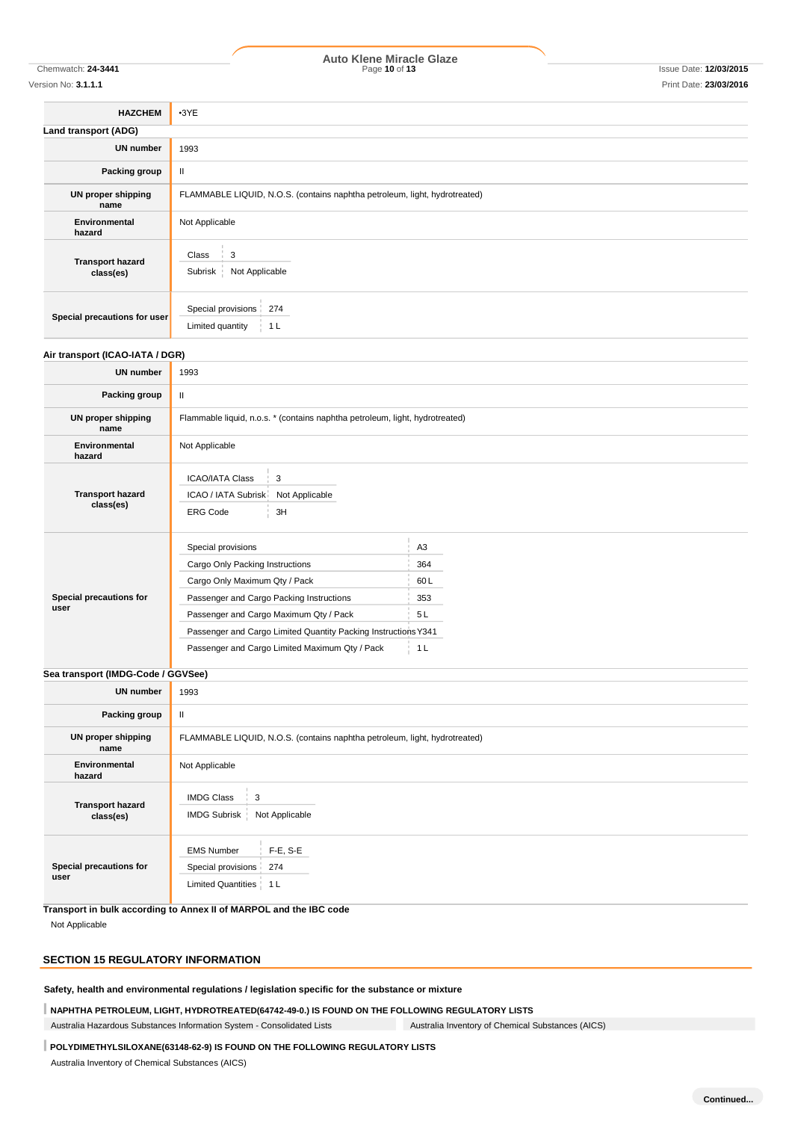# Chemwatch: **24-3441** Page **10** of **13** Issue Date: **12/03/2015 Auto Klene Miracle Glaze**

#### Version No: **3.1.1.1** Print Date: **23/03/2016**

**HAZCHEM** •3YE **Land transport (ADG) UN number** 1993 **Packing group** | II **UN proper shipping name** FLAMMABLE LIQUID, N.O.S. (contains naphtha petroleum, light, hydrotreated) **Environmental hazard** Not Applicable **Transport hazard class(es)**  $Class \ \ 3$ Subrisk Not Applicable

#### **Air transport (ICAO-IATA / DGR)**

**Special precautions for user**

Special provisions 274 Limited quantity | 1 L

| <b>UN number</b>                     | 1993                                                                                                                                                                                                                                                                                             |                                                             |
|--------------------------------------|--------------------------------------------------------------------------------------------------------------------------------------------------------------------------------------------------------------------------------------------------------------------------------------------------|-------------------------------------------------------------|
| Packing group                        | $\mathbf{H}$                                                                                                                                                                                                                                                                                     |                                                             |
| UN proper shipping<br>name           | Flammable liquid, n.o.s. * (contains naphtha petroleum, light, hydrotreated)                                                                                                                                                                                                                     |                                                             |
| Environmental<br>hazard              | Not Applicable                                                                                                                                                                                                                                                                                   |                                                             |
| <b>Transport hazard</b><br>class(es) | <b>ICAO/IATA Class</b><br>3<br>ICAO / IATA Subrisk<br>Not Applicable<br><b>ERG Code</b><br>3H                                                                                                                                                                                                    |                                                             |
| Special precautions for<br>user      | Special provisions<br>Cargo Only Packing Instructions<br>Cargo Only Maximum Qty / Pack<br>Passenger and Cargo Packing Instructions<br>Passenger and Cargo Maximum Qty / Pack<br>Passenger and Cargo Limited Quantity Packing Instructions Y341<br>Passenger and Cargo Limited Maximum Qty / Pack | A <sub>3</sub><br>364<br>60L<br>353<br>5L<br>1 <sub>L</sub> |

# **Sea transport (IMDG-Code / GGVSee)**

| <b>UN number</b>                     | 1993                                                                                     |  |
|--------------------------------------|------------------------------------------------------------------------------------------|--|
| Packing group                        | $\mathbf{I}$                                                                             |  |
| UN proper shipping<br>name           | FLAMMABLE LIQUID, N.O.S. (contains naphtha petroleum, light, hydrotreated)               |  |
| Environmental<br>hazard              | Not Applicable                                                                           |  |
| <b>Transport hazard</b><br>class(es) | <b>IMDG Class</b><br>3<br>Not Applicable<br>IMDG Subrisk                                 |  |
| Special precautions for<br>user      | $F-E, S-E$<br><b>EMS Number</b><br>274<br>Special provisions<br>Limited Quantities   1 L |  |

**Transport in bulk according to Annex II of MARPOL and the IBC code**

Not Applicable

## **SECTION 15 REGULATORY INFORMATION**

**Safety, health and environmental regulations / legislation specific for the substance or mixture**

**NAPHTHA PETROLEUM, LIGHT, HYDROTREATED(64742-49-0.) IS FOUND ON THE FOLLOWING REGULATORY LISTS**

Australia Hazardous Substances Information System - Consolidated Lists Australia Inventory of Chemical Substances (AICS)

### **POLYDIMETHYLSILOXANE(63148-62-9) IS FOUND ON THE FOLLOWING REGULATORY LISTS**

Australia Inventory of Chemical Substances (AICS)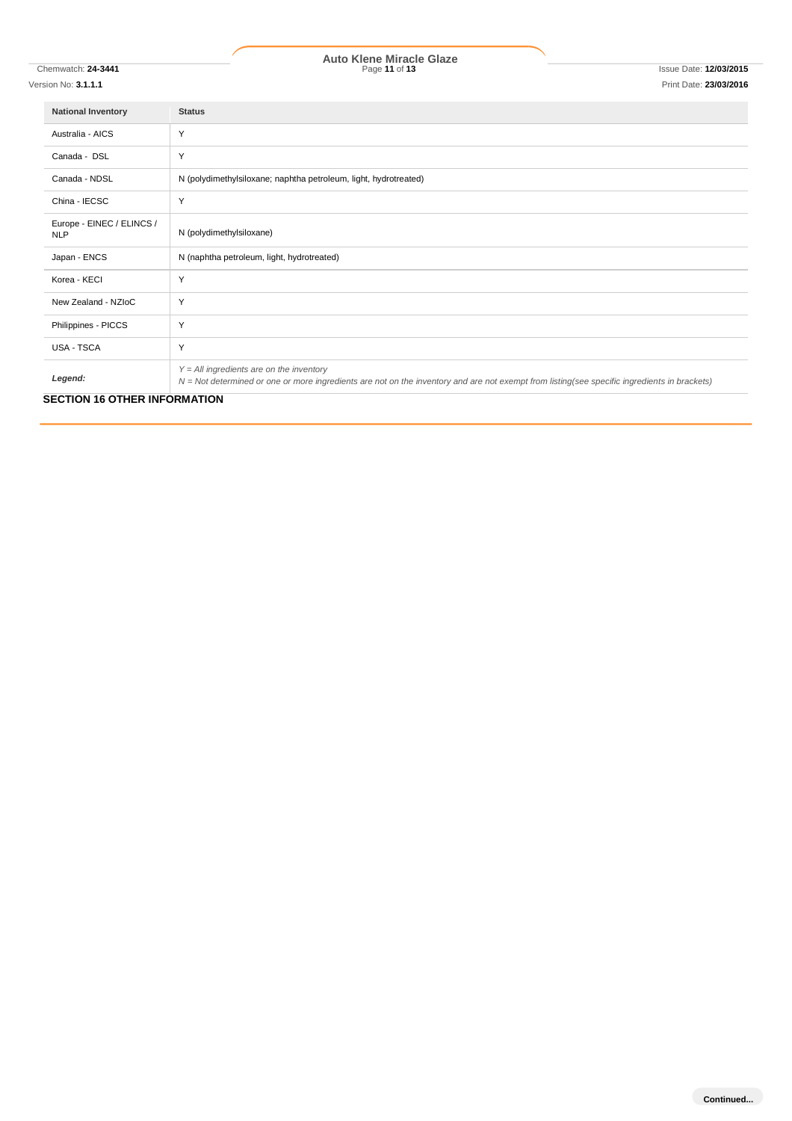# Chemwatch: **24-3441** Page **11** of **13** Issue Date: **12/03/2015 Auto Klene Miracle Glaze**

| <b>National Inventory</b>                | <b>Status</b>                                                                                                                                                                              |
|------------------------------------------|--------------------------------------------------------------------------------------------------------------------------------------------------------------------------------------------|
| Australia - AICS                         | Y                                                                                                                                                                                          |
| Canada - DSL                             | Y                                                                                                                                                                                          |
| Canada - NDSL                            | N (polydimethylsiloxane; naphtha petroleum, light, hydrotreated)                                                                                                                           |
| China - IECSC                            | Y                                                                                                                                                                                          |
| Europe - EINEC / ELINCS /<br><b>NLP</b>  | N (polydimethylsiloxane)                                                                                                                                                                   |
| Japan - ENCS                             | N (naphtha petroleum, light, hydrotreated)                                                                                                                                                 |
| Korea - KECI                             | Y                                                                                                                                                                                          |
| New Zealand - NZIoC                      | Y                                                                                                                                                                                          |
| Philippines - PICCS                      | Y                                                                                                                                                                                          |
| USA - TSCA                               | Y                                                                                                                                                                                          |
| Legend:<br>CECTION 40 OTHER INFORMATION. | $Y = All$ ingredients are on the inventory<br>N = Not determined or one or more ingredients are not on the inventory and are not exempt from listing(see specific ingredients in brackets) |

**SECTION 16 OTHER INFORMATION**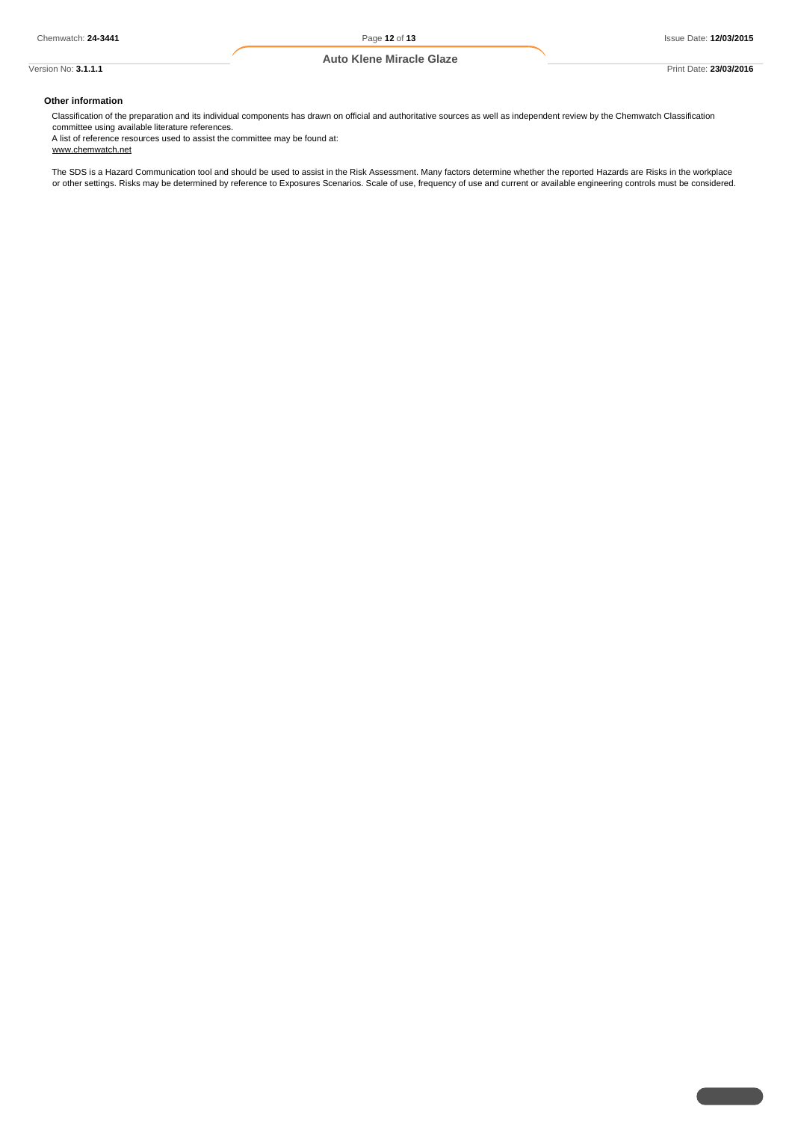# **Other information**

Classification of the preparation and its individual components has drawn on official and authoritative sources as well as independent review by the Chemwatch Classification committee using available literature references.

A list of reference resources used to assist the committee may be found at: www.chemwatch.net

The SDS is a Hazard Communication tool and should be used to assist in the Risk Assessment. Many factors determine whether the reported Hazards are Risks in the workplace or other settings. Risks may be determined by reference to Exposures Scenarios. Scale of use, frequency of use and current or available engineering controls must be considered.